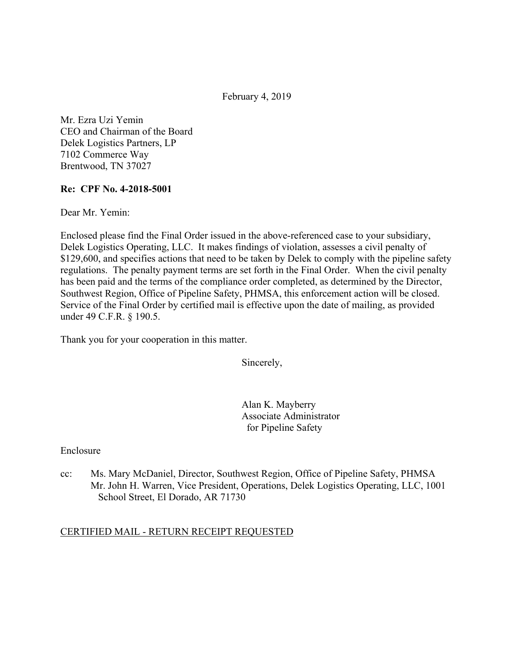February 4, 2019

Mr. Ezra Uzi Yemin CEO and Chairman of the Board Delek Logistics Partners, LP 7102 Commerce Way Brentwood, TN 37027

#### **Re: CPF No. 4-2018-5001**

Dear Mr. Yemin:

Enclosed please find the Final Order issued in the above-referenced case to your subsidiary, Delek Logistics Operating, LLC. It makes findings of violation, assesses a civil penalty of \$129,600, and specifies actions that need to be taken by Delek to comply with the pipeline safety regulations. The penalty payment terms are set forth in the Final Order. When the civil penalty has been paid and the terms of the compliance order completed, as determined by the Director, Southwest Region, Office of Pipeline Safety, PHMSA, this enforcement action will be closed. Service of the Final Order by certified mail is effective upon the date of mailing, as provided under 49 C.F.R. § 190.5.

Thank you for your cooperation in this matter.

Sincerely,

Alan K. Mayberry Associate Administrator for Pipeline Safety

Enclosure

cc: Ms. Mary McDaniel, Director, Southwest Region, Office of Pipeline Safety, PHMSA Mr. John H. Warren, Vice President, Operations, Delek Logistics Operating, LLC, 1001 School Street, El Dorado, AR 71730

# CERTIFIED MAIL - RETURN RECEIPT REQUESTED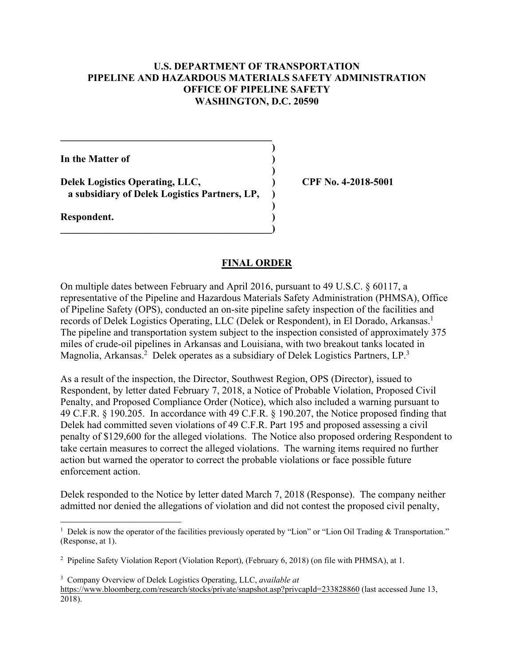### **U.S. DEPARTMENT OF TRANSPORTATION PIPELINE AND HAZARDOUS MATERIALS SAFETY ADMINISTRATION OFFICE OF PIPELINE SAFETY WASHINGTON, D.C. 20590**

 **)**

 **)**

 **)**

**In the Matter of )**

**Delek Logistics Operating, LLC, ) CPF No. 4-2018-5001 a subsidiary of Delek Logistics Partners, LP, )**

**\_\_\_\_\_\_\_\_\_\_\_\_\_\_\_\_\_\_\_\_\_\_\_\_\_\_\_\_\_\_\_\_\_\_\_\_\_\_\_\_\_\_)** 

 $\mathcal{L} = \{ \mathcal{L} \}$ 

**Respondent. )** 

<u>.</u>

### **FINAL ORDER**

records of Delek Logistics Operating, LLC (Delek or Respondent), in El Dorado, Arkansas.<sup>1</sup> Magnolia, Arkansas.<sup>2</sup> Delek operates as a subsidiary of Delek Logistics Partners, LP.<sup>3</sup> On multiple dates between February and April 2016, pursuant to 49 U.S.C. § 60117, a representative of the Pipeline and Hazardous Materials Safety Administration (PHMSA), Office of Pipeline Safety (OPS), conducted an on-site pipeline safety inspection of the facilities and The pipeline and transportation system subject to the inspection consisted of approximately 375 miles of crude-oil pipelines in Arkansas and Louisiana, with two breakout tanks located in

As a result of the inspection, the Director, Southwest Region, OPS (Director), issued to Respondent, by letter dated February 7, 2018, a Notice of Probable Violation, Proposed Civil Penalty, and Proposed Compliance Order (Notice), which also included a warning pursuant to 49 C.F.R. § 190.205. In accordance with 49 C.F.R. § 190.207, the Notice proposed finding that Delek had committed seven violations of 49 C.F.R. Part 195 and proposed assessing a civil penalty of \$129,600 for the alleged violations. The Notice also proposed ordering Respondent to take certain measures to correct the alleged violations. The warning items required no further action but warned the operator to correct the probable violations or face possible future enforcement action.

Delek responded to the Notice by letter dated March 7, 2018 (Response). The company neither admitted nor denied the allegations of violation and did not contest the proposed civil penalty,

<sup>&</sup>lt;sup>1</sup> Delek is now the operator of the facilities previously operated by "Lion" or "Lion Oil Trading & Transportation." (Response, at 1).

<sup>2</sup> Pipeline Safety Violation Report (Violation Report), (February 6, 2018) (on file with PHMSA), at 1.

<sup>3</sup> Company Overview of Delek Logistics Operating, LLC, *available at*  <https://www.bloomberg.com/research/stocks/private/snapshot.asp?privcapId=233828860>(last accessed June 13, 2018).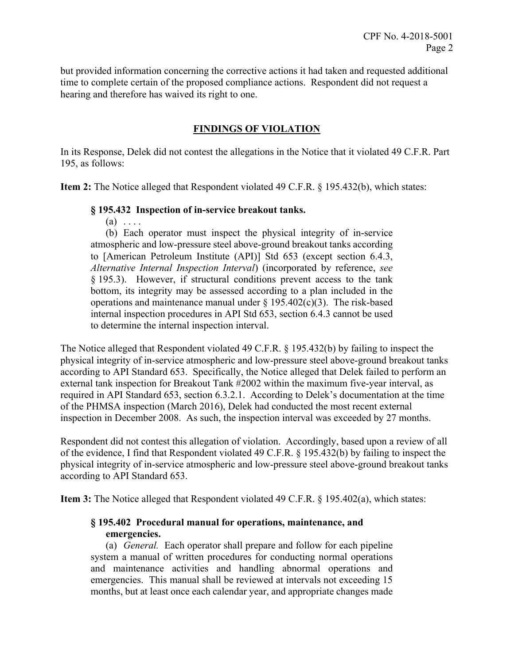but provided information concerning the corrective actions it had taken and requested additional time to complete certain of the proposed compliance actions. Respondent did not request a hearing and therefore has waived its right to one.

# **FINDINGS OF VIOLATION**

In its Response, Delek did not contest the allegations in the Notice that it violated 49 C.F.R. Part 195, as follows:

**Item 2:** The Notice alleged that Respondent violated 49 C.F.R. § 195.432(b), which states:

### **§ 195.432 Inspection of in-service breakout tanks.**

 $(a) \ldots$ 

 *Alternative Internal Inspection Interval*) (incorporated by reference, *see*  bottom, its integrity may be assessed according to a plan included in the (b) Each operator must inspect the physical integrity of in-service atmospheric and low-pressure steel above-ground breakout tanks according to [American Petroleum Institute (API)] Std 653 (except section 6.4.3, § 195.3). However, if structural conditions prevent access to the tank operations and maintenance manual under  $\S 195.402(c)(3)$ . The risk-based internal inspection procedures in API Std 653, section 6.4.3 cannot be used to determine the internal inspection interval.

The Notice alleged that Respondent violated 49 C.F.R. § 195.432(b) by failing to inspect the physical integrity of in-service atmospheric and low-pressure steel above-ground breakout tanks according to API Standard 653. Specifically, the Notice alleged that Delek failed to perform an external tank inspection for Breakout Tank #2002 within the maximum five-year interval, as required in API Standard 653, section 6.3.2.1. According to Delek's documentation at the time of the PHMSA inspection (March 2016), Delek had conducted the most recent external inspection in December 2008. As such, the inspection interval was exceeded by 27 months.

Respondent did not contest this allegation of violation. Accordingly, based upon a review of all of the evidence, I find that Respondent violated 49 C.F.R. § 195.432(b) by failing to inspect the physical integrity of in-service atmospheric and low-pressure steel above-ground breakout tanks according to API Standard 653.

**Item 3:** The Notice alleged that Respondent violated 49 C.F.R. § 195.402(a), which states:

# **§ 195.402 Procedural manual for operations, maintenance, and emergencies.**

 (a) *General.* Each operator shall prepare and follow for each pipeline system a manual of written procedures for conducting normal operations and maintenance activities and handling abnormal operations and emergencies. This manual shall be reviewed at intervals not exceeding 15 months, but at least once each calendar year, and appropriate changes made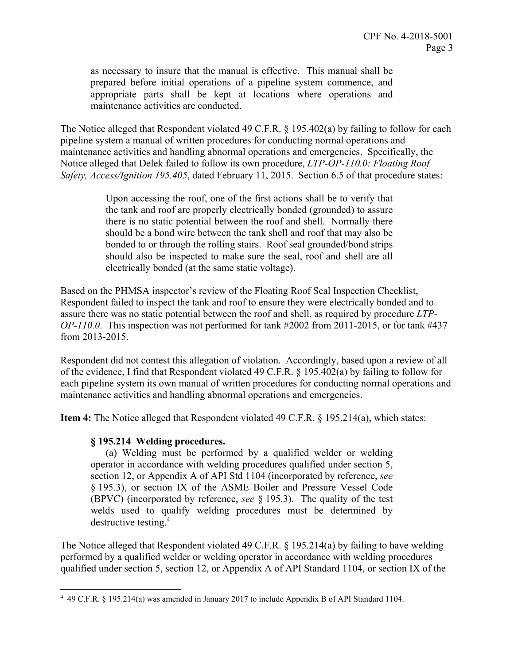as necessary to insure that the manual is effective. This manual shall be prepared before initial operations of a pipeline system commence, and appropriate parts shall be kept at locations where operations and maintenance activities are conducted.

The Notice alleged that Respondent violated 49 C.F.R. § 195.402(a) by failing to follow for each pipeline system a manual of written procedures for conducting normal operations and maintenance activities and handling abnormal operations and emergencies. Specifically, the Notice alleged that Delek failed to follow its own procedure, *LTP-OP-110.0: Floating Roof Safety, Access/Ignition 195.405*, dated February 11, 2015. Section 6.5 of that procedure states:

> Upon accessing the roof, one of the first actions shall be to verify that the tank and roof are properly electrically bonded (grounded) to assure there is no static potential between the roof and shell. Normally there should be a bond wire between the tank shell and roof that may also be bonded to or through the rolling stairs. Roof seal grounded/bond strips should also be inspected to make sure the seal, roof and shell are all electrically bonded (at the same static voltage).

Based on the PHMSA inspector's review of the Floating Roof Seal Inspection Checklist, Respondent failed to inspect the tank and roof to ensure they were electrically bonded and to assure there was no static potential between the roof and shell, as required by procedure *LTP-OP-110.0*. This inspection was not performed for tank #2002 from 2011-2015, or for tank #437 from 2013-2015.

Respondent did not contest this allegation of violation. Accordingly, based upon a review of all of the evidence, I find that Respondent violated 49 C.F.R. § 195.402(a) by failing to follow for each pipeline system its own manual of written procedures for conducting normal operations and maintenance activities and handling abnormal operations and emergencies.

**Item 4:** The Notice alleged that Respondent violated 49 C.F.R. § 195.214(a), which states:

#### **§ 195.214 Welding procedures.**

 $\overline{a}$ 

 (a) Welding must be performed by a qualified welder or welding (BPVC) (incorporated by reference, *see* § 195.3). The quality of the test operator in accordance with welding procedures qualified under section 5, section 12, or Appendix A of API Std 1104 (incorporated by reference, *see*  § 195.3), or section IX of the ASME Boiler and Pressure Vessel Code welds used to qualify welding procedures must be determined by destructive testing.<sup>4</sup>

The Notice alleged that Respondent violated 49 C.F.R. § 195.214(a) by failing to have welding performed by a qualified welder or welding operator in accordance with welding procedures qualified under section 5, section 12, or Appendix A of API Standard 1104, or section IX of the

<sup>4</sup> 49 C.F.R. § 195.214(a) was amended in January 2017 to include Appendix B of API Standard 1104.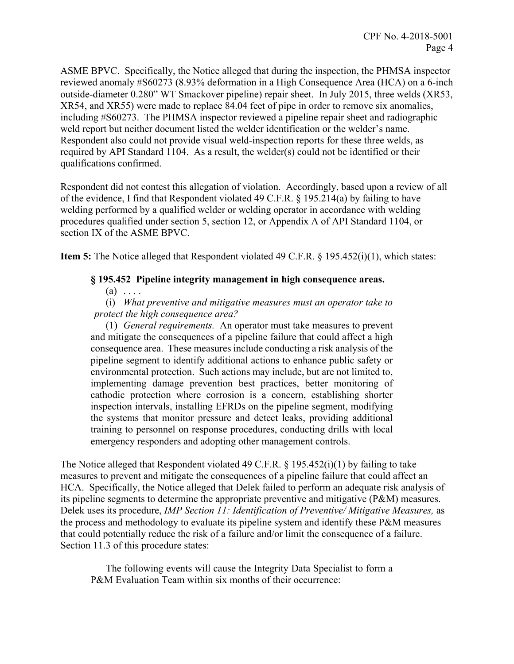ASME BPVC. Specifically, the Notice alleged that during the inspection, the PHMSA inspector reviewed anomaly #S60273 (8.93% deformation in a High Consequence Area (HCA) on a 6-inch outside-diameter 0.280" WT Smackover pipeline) repair sheet. In July 2015, three welds (XR53, XR54, and XR55) were made to replace 84.04 feet of pipe in order to remove six anomalies, including #S60273. The PHMSA inspector reviewed a pipeline repair sheet and radiographic weld report but neither document listed the welder identification or the welder's name. Respondent also could not provide visual weld-inspection reports for these three welds, as required by API Standard 1104. As a result, the welder(s) could not be identified or their qualifications confirmed.

Respondent did not contest this allegation of violation. Accordingly, based upon a review of all of the evidence, I find that Respondent violated 49 C.F.R. § 195.214(a) by failing to have welding performed by a qualified welder or welding operator in accordance with welding procedures qualified under section 5, section 12, or Appendix A of API Standard 1104, or section IX of the ASME BPVC.

**Item 5:** The Notice alleged that Respondent violated 49 C.F.R. § 195.452(i)(1), which states:

### **§ 195.452 Pipeline integrity management in high consequence areas.**

 $(a) \ldots$ 

(i) *What preventive and mitigative measures must an operator take to protect the high consequence area?* 

 and mitigate the consequences of a pipeline failure that could affect a high (1) *General requirements.* An operator must take measures to prevent consequence area. These measures include conducting a risk analysis of the pipeline segment to identify additional actions to enhance public safety or environmental protection. Such actions may include, but are not limited to, implementing damage prevention best practices, better monitoring of cathodic protection where corrosion is a concern, establishing shorter inspection intervals, installing EFRDs on the pipeline segment, modifying the systems that monitor pressure and detect leaks, providing additional training to personnel on response procedures, conducting drills with local emergency responders and adopting other management controls.

The Notice alleged that Respondent violated 49 C.F.R. § 195.452(i)(1) by failing to take measures to prevent and mitigate the consequences of a pipeline failure that could affect an HCA. Specifically, the Notice alleged that Delek failed to perform an adequate risk analysis of its pipeline segments to determine the appropriate preventive and mitigative (P&M) measures. Delek uses its procedure, *IMP Section 11: Identification of Preventive/ Mitigative Measures,* as the process and methodology to evaluate its pipeline system and identify these P&M measures that could potentially reduce the risk of a failure and/or limit the consequence of a failure. Section 11.3 of this procedure states:

 The following events will cause the Integrity Data Specialist to form a P&M Evaluation Team within six months of their occurrence: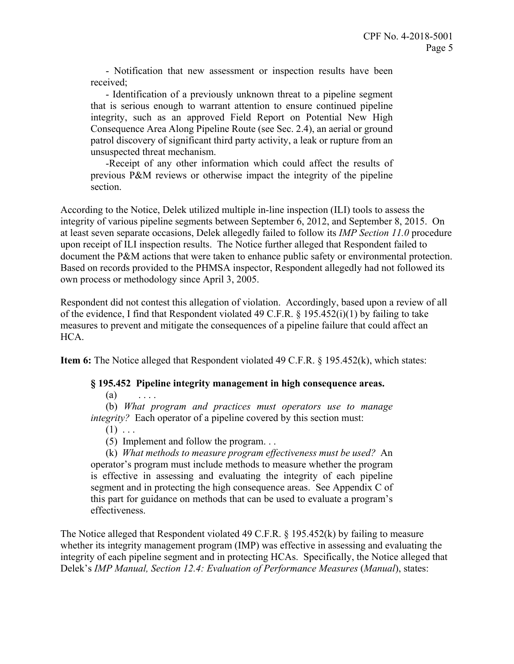- Notification that new assessment or inspection results have been received;

 that is serious enough to warrant attention to ensure continued pipeline patrol discovery of significant third party activity, a leak or rupture from an - Identification of a previously unknown threat to a pipeline segment integrity, such as an approved Field Report on Potential New High Consequence Area Along Pipeline Route (see Sec. 2.4), an aerial or ground unsuspected threat mechanism.

-Receipt of any other information which could affect the results of previous P&M reviews or otherwise impact the integrity of the pipeline section.

According to the Notice, Delek utilized multiple in-line inspection (ILI) tools to assess the integrity of various pipeline segments between September 6, 2012, and September 8, 2015. On at least seven separate occasions, Delek allegedly failed to follow its *IMP Section 11.0* procedure upon receipt of ILI inspection results. The Notice further alleged that Respondent failed to document the P&M actions that were taken to enhance public safety or environmental protection. Based on records provided to the PHMSA inspector, Respondent allegedly had not followed its own process or methodology since April 3, 2005.

Respondent did not contest this allegation of violation. Accordingly, based upon a review of all of the evidence, I find that Respondent violated 49 C.F.R. § 195.452(i)(1) by failing to take measures to prevent and mitigate the consequences of a pipeline failure that could affect an HCA.

**Item 6:** The Notice alleged that Respondent violated 49 C.F.R. § 195.452(k), which states:

#### **§ 195.452 Pipeline integrity management in high consequence areas.**

 $(a)$  ....

(b) *What program and practices must operators use to manage integrity?* Each operator of a pipeline covered by this section must:

- $(1) \ldots$
- (5) Implement and follow the program. . .

 operator's program must include methods to measure whether the program (k) *What methods to measure program effectiveness must be used?* An is effective in assessing and evaluating the integrity of each pipeline segment and in protecting the high consequence areas. See Appendix C of this part for guidance on methods that can be used to evaluate a program's effectiveness.

 integrity of each pipeline segment and in protecting HCAs. Specifically, the Notice alleged that The Notice alleged that Respondent violated 49 C.F.R. § 195.452(k) by failing to measure whether its integrity management program (IMP) was effective in assessing and evaluating the Delek's *IMP Manual, Section 12.4: Evaluation of Performance Measures* (*Manual*), states: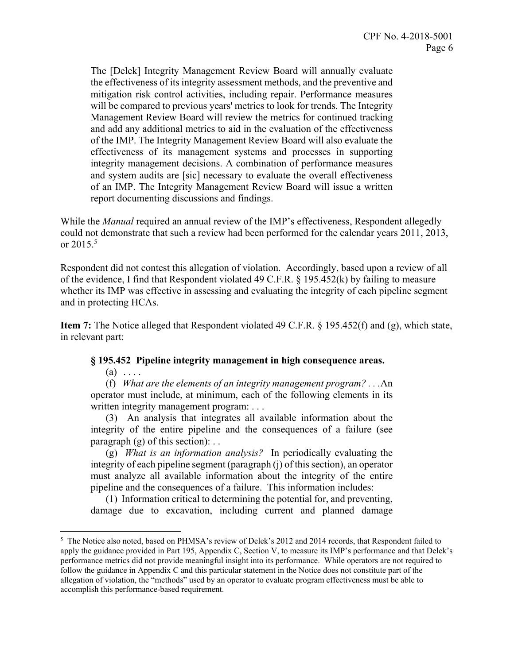and system audits are [sic] necessary to evaluate the overall effectiveness The [Delek] Integrity Management Review Board will annually evaluate the effectiveness of its integrity assessment methods, and the preventive and mitigation risk control activities, including repair. Performance measures will be compared to previous years' metrics to look for trends. The Integrity Management Review Board will review the metrics for continued tracking and add any additional metrics to aid in the evaluation of the effectiveness of the IMP. The Integrity Management Review Board will also evaluate the effectiveness of its management systems and processes in supporting integrity management decisions. A combination of performance measures of an IMP. The Integrity Management Review Board will issue a written report documenting discussions and findings.

While the *Manual* required an annual review of the IMP's effectiveness, Respondent allegedly could not demonstrate that such a review had been performed for the calendar years 2011, 2013, or  $2015.^5$ 

Respondent did not contest this allegation of violation. Accordingly, based upon a review of all of the evidence, I find that Respondent violated 49 C.F.R. § 195.452(k) by failing to measure whether its IMP was effective in assessing and evaluating the integrity of each pipeline segment and in protecting HCAs.

**Item 7:** The Notice alleged that Respondent violated 49 C.F.R. § 195.452(f) and (g), which state, in relevant part:

#### **§ 195.452 Pipeline integrity management in high consequence areas.**

 $(a) \ldots$ 

1

 (f) *What are the elements of an integrity management program? . . .*An operator must include, at minimum, each of the following elements in its written integrity management program: . . .

(3) An analysis that integrates all available information about the integrity of the entire pipeline and the consequences of a failure (see paragraph  $(g)$  of this section): ...

 (g) *What is an information analysis?* In periodically evaluating the integrity of each pipeline segment (paragraph (j) of this section), an operator must analyze all available information about the integrity of the entire pipeline and the consequences of a failure. This information includes:

(1) Information critical to determining the potential for, and preventing, damage due to excavation, including current and planned damage

 apply the guidance provided in Part 195, Appendix C, Section V, to measure its IMP's performance and that Delek's performance metrics did not provide meaningful insight into its performance. While operators are not required to follow the guidance in Appendix C and this particular statement in the Notice does not constitute part of the <sup>5</sup> The Notice also noted, based on PHMSA's review of Delek's 2012 and 2014 records, that Respondent failed to allegation of violation, the "methods" used by an operator to evaluate program effectiveness must be able to accomplish this performance-based requirement.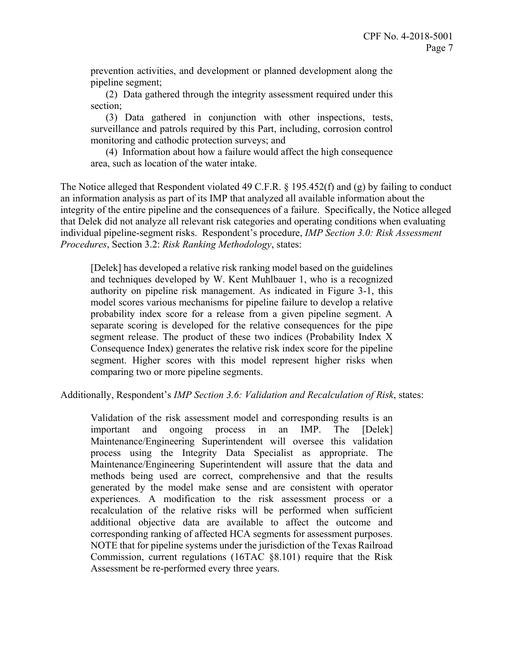prevention activities, and development or planned development along the pipeline segment;

(2) Data gathered through the integrity assessment required under this section;

(3) Data gathered in conjunction with other inspections, tests, surveillance and patrols required by this Part, including, corrosion control monitoring and cathodic protection surveys; and

(4) Information about how a failure would affect the high consequence area, such as location of the water intake.

The Notice alleged that Respondent violated 49 C.F.R. § 195.452(f) and (g) by failing to conduct an information analysis as part of its IMP that analyzed all available information about the integrity of the entire pipeline and the consequences of a failure. Specifically, the Notice alleged that Delek did not analyze all relevant risk categories and operating conditions when evaluating individual pipeline-segment risks. Respondent's procedure, *IMP Section 3.0: Risk Assessment Procedures*, Section 3.2: *Risk Ranking Methodology*, states:

 model scores various mechanisms for pipeline failure to develop a relative probability index score for a release from a given pipeline segment. A [Delek] has developed a relative risk ranking model based on the guidelines and techniques developed by W. Kent Muhlbauer 1, who is a recognized authority on pipeline risk management. As indicated in Figure 3-1, this separate scoring is developed for the relative consequences for the pipe segment release. The product of these two indices (Probability Index X Consequence Index) generates the relative risk index score for the pipeline segment. Higher scores with this model represent higher risks when comparing two or more pipeline segments.

Additionally, Respondent's *IMP Section 3.6: Validation and Recalculation of Risk*, states:

Validation of the risk assessment model and corresponding results is an important and ongoing process in an IMP. The [Delek] Maintenance/Engineering Superintendent will oversee this validation process using the Integrity Data Specialist as appropriate. The Maintenance/Engineering Superintendent will assure that the data and methods being used are correct, comprehensive and that the results generated by the model make sense and are consistent with operator experiences. A modification to the risk assessment process or a recalculation of the relative risks will be performed when sufficient additional objective data are available to affect the outcome and corresponding ranking of affected HCA segments for assessment purposes. NOTE that for pipeline systems under the jurisdiction of the Texas Railroad Commission, current regulations (16TAC §8.101) require that the Risk Assessment be re-performed every three years.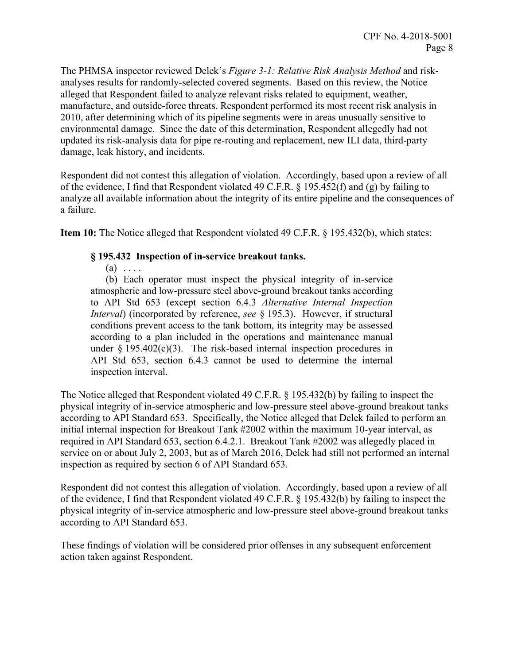The PHMSA inspector reviewed Delek's *Figure 3-1: Relative Risk Analysis Method* and riskanalyses results for randomly-selected covered segments. Based on this review, the Notice alleged that Respondent failed to analyze relevant risks related to equipment, weather, manufacture, and outside-force threats. Respondent performed its most recent risk analysis in 2010, after determining which of its pipeline segments were in areas unusually sensitive to environmental damage. Since the date of this determination, Respondent allegedly had not updated its risk-analysis data for pipe re-routing and replacement, new ILI data, third-party damage, leak history, and incidents.

Respondent did not contest this allegation of violation. Accordingly, based upon a review of all of the evidence, I find that Respondent violated 49 C.F.R. § 195.452(f) and (g) by failing to analyze all available information about the integrity of its entire pipeline and the consequences of a failure.

**Item 10:** The Notice alleged that Respondent violated 49 C.F.R. § 195.432(b), which states:

### **§ 195.432 Inspection of in-service breakout tanks.**

 $(a) \ldots$ 

 *Interval*) (incorporated by reference, *see* § 195.3). However, if structural conditions prevent access to the tank bottom, its integrity may be assessed (b) Each operator must inspect the physical integrity of in-service atmospheric and low-pressure steel above-ground breakout tanks according to API Std 653 (except section 6.4.3 *Alternative Internal Inspection*  according to a plan included in the operations and maintenance manual under  $\S 195.402(c)(3)$ . The risk-based internal inspection procedures in API Std 653, section 6.4.3 cannot be used to determine the internal inspection interval.

The Notice alleged that Respondent violated 49 C.F.R. § 195.432(b) by failing to inspect the physical integrity of in-service atmospheric and low-pressure steel above-ground breakout tanks according to API Standard 653. Specifically, the Notice alleged that Delek failed to perform an initial internal inspection for Breakout Tank #2002 within the maximum 10-year interval, as required in API Standard 653, section 6.4.2.1. Breakout Tank #2002 was allegedly placed in service on or about July 2, 2003, but as of March 2016, Delek had still not performed an internal inspection as required by section 6 of API Standard 653.

Respondent did not contest this allegation of violation. Accordingly, based upon a review of all of the evidence, I find that Respondent violated 49 C.F.R. § 195.432(b) by failing to inspect the physical integrity of in-service atmospheric and low-pressure steel above-ground breakout tanks according to API Standard 653.

These findings of violation will be considered prior offenses in any subsequent enforcement action taken against Respondent.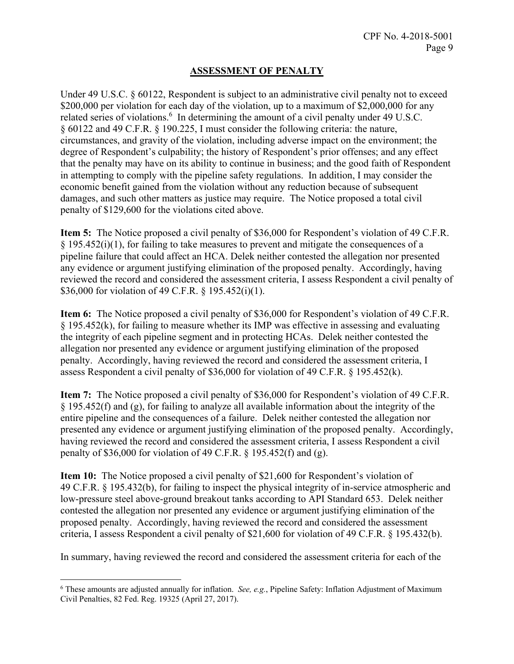# **ASSESSMENT OF PENALTY**

Under 49 U.S.C. § 60122, Respondent is subject to an administrative civil penalty not to exceed \$200,000 per violation for each day of the violation, up to a maximum of \$2,000,000 for any related series of violations.<sup>6</sup> In determining the amount of a civil penalty under 49 U.S.C. § 60122 and 49 C.F.R. § 190.225, I must consider the following criteria: the nature, circumstances, and gravity of the violation, including adverse impact on the environment; the degree of Respondent's culpability; the history of Respondent's prior offenses; and any effect that the penalty may have on its ability to continue in business; and the good faith of Respondent in attempting to comply with the pipeline safety regulations. In addition, I may consider the economic benefit gained from the violation without any reduction because of subsequent damages, and such other matters as justice may require. The Notice proposed a total civil penalty of \$129,600 for the violations cited above.

**Item 5:** The Notice proposed a civil penalty of \$36,000 for Respondent's violation of 49 C.F.R. § 195.452(i)(1), for failing to take measures to prevent and mitigate the consequences of a pipeline failure that could affect an HCA. Delek neither contested the allegation nor presented any evidence or argument justifying elimination of the proposed penalty. Accordingly, having reviewed the record and considered the assessment criteria, I assess Respondent a civil penalty of \$36,000 for violation of 49 C.F.R. § 195.452(i)(1).

 the integrity of each pipeline segment and in protecting HCAs. Delek neither contested the **Item 6:** The Notice proposed a civil penalty of \$36,000 for Respondent's violation of 49 C.F.R. § 195.452(k), for failing to measure whether its IMP was effective in assessing and evaluating allegation nor presented any evidence or argument justifying elimination of the proposed penalty. Accordingly, having reviewed the record and considered the assessment criteria, I assess Respondent a civil penalty of \$36,000 for violation of 49 C.F.R. § 195.452(k).

**Item 7:** The Notice proposed a civil penalty of \$36,000 for Respondent's violation of 49 C.F.R. § 195.452(f) and (g), for failing to analyze all available information about the integrity of the entire pipeline and the consequences of a failure. Delek neither contested the allegation nor presented any evidence or argument justifying elimination of the proposed penalty. Accordingly, having reviewed the record and considered the assessment criteria, I assess Respondent a civil penalty of \$36,000 for violation of 49 C.F.R.  $\frac{1}{2}$  195.452(f) and (g).

**Item 10:** The Notice proposed a civil penalty of \$21,600 for Respondent's violation of 49 C.F.R. § 195.432(b), for failing to inspect the physical integrity of in-service atmospheric and low-pressure steel above-ground breakout tanks according to API Standard 653. Delek neither contested the allegation nor presented any evidence or argument justifying elimination of the proposed penalty. Accordingly, having reviewed the record and considered the assessment criteria, I assess Respondent a civil penalty of \$21,600 for violation of 49 C.F.R. § 195.432(b).

In summary, having reviewed the record and considered the assessment criteria for each of the

 $\overline{a}$ 

<sup>6</sup> These amounts are adjusted annually for inflation. *See, e.g.*, Pipeline Safety: Inflation Adjustment of Maximum Civil Penalties, 82 Fed. Reg. 19325 (April 27, 2017).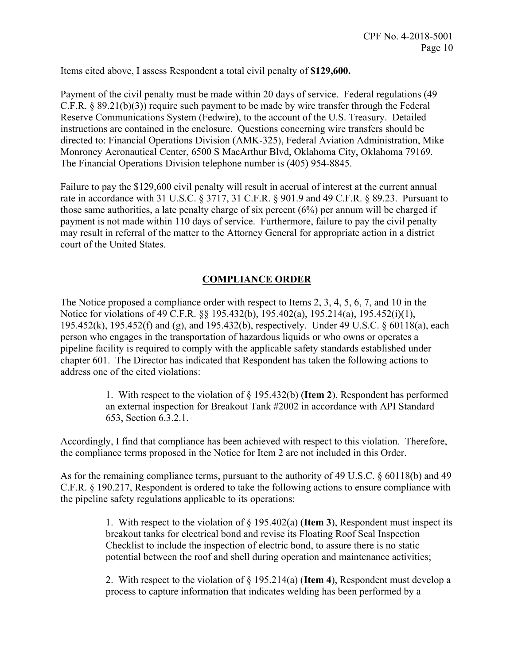Items cited above, I assess Respondent a total civil penalty of **\$129,600.**

Payment of the civil penalty must be made within 20 days of service. Federal regulations (49 C.F.R. § 89.21(b)(3)) require such payment to be made by wire transfer through the Federal Reserve Communications System (Fedwire), to the account of the U.S. Treasury. Detailed instructions are contained in the enclosure. Questions concerning wire transfers should be directed to: Financial Operations Division (AMK-325), Federal Aviation Administration, Mike Monroney Aeronautical Center, 6500 S MacArthur Blvd, Oklahoma City, Oklahoma 79169. The Financial Operations Division telephone number is (405) 954-8845.

Failure to pay the \$129,600 civil penalty will result in accrual of interest at the current annual rate in accordance with 31 U.S.C. § 3717, 31 C.F.R. § 901.9 and 49 C.F.R. § 89.23. Pursuant to those same authorities, a late penalty charge of six percent (6%) per annum will be charged if payment is not made within 110 days of service. Furthermore, failure to pay the civil penalty may result in referral of the matter to the Attorney General for appropriate action in a district court of the United States.

# **COMPLIANCE ORDER**

The Notice proposed a compliance order with respect to Items 2, 3, 4, 5, 6, 7, and 10 in the Notice for violations of 49 C.F.R. §§ 195.432(b), 195.402(a), 195.214(a), 195.452(i)(1), 195.452(k), 195.452(f) and (g), and 195.432(b), respectively. Under 49 U.S.C. § 60118(a), each person who engages in the transportation of hazardous liquids or who owns or operates a pipeline facility is required to comply with the applicable safety standards established under chapter 601. The Director has indicated that Respondent has taken the following actions to address one of the cited violations:

> 1. With respect to the violation of § 195.432(b) (**Item 2**), Respondent has performed an external inspection for Breakout Tank #2002 in accordance with API Standard 653, Section 6.3.2.1.

Accordingly, I find that compliance has been achieved with respect to this violation. Therefore, the compliance terms proposed in the Notice for Item 2 are not included in this Order.

As for the remaining compliance terms, pursuant to the authority of 49 U.S.C. § 60118(b) and 49 C.F.R. § 190.217, Respondent is ordered to take the following actions to ensure compliance with the pipeline safety regulations applicable to its operations:

> 1. With respect to the violation of § 195.402(a) (**Item 3**), Respondent must inspect its breakout tanks for electrical bond and revise its Floating Roof Seal Inspection Checklist to include the inspection of electric bond, to assure there is no static potential between the roof and shell during operation and maintenance activities;

> 2. With respect to the violation of § 195.214(a) (**Item 4**), Respondent must develop a process to capture information that indicates welding has been performed by a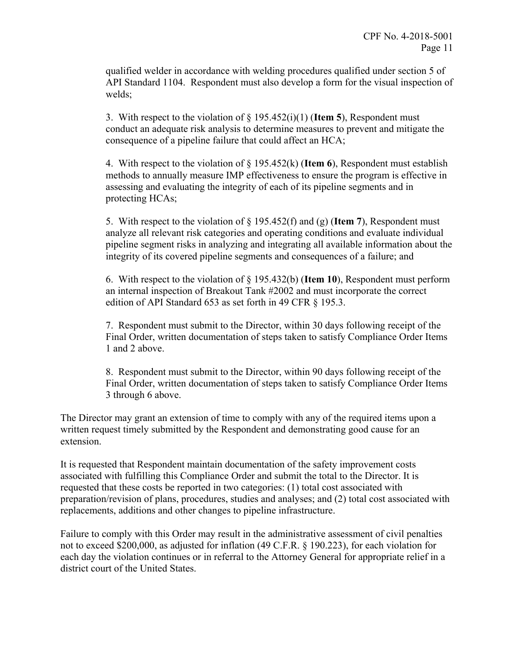qualified welder in accordance with welding procedures qualified under section 5 of API Standard 1104. Respondent must also develop a form for the visual inspection of welds;

3. With respect to the violation of § 195.452(i)(1) (**Item 5**), Respondent must conduct an adequate risk analysis to determine measures to prevent and mitigate the consequence of a pipeline failure that could affect an HCA;

4. With respect to the violation of § 195.452(k) (**Item 6**), Respondent must establish methods to annually measure IMP effectiveness to ensure the program is effective in assessing and evaluating the integrity of each of its pipeline segments and in protecting HCAs;

5. With respect to the violation of § 195.452(f) and (g) (**Item 7**), Respondent must analyze all relevant risk categories and operating conditions and evaluate individual pipeline segment risks in analyzing and integrating all available information about the integrity of its covered pipeline segments and consequences of a failure; and

6. With respect to the violation of § 195.432(b) (**Item 10**), Respondent must perform an internal inspection of Breakout Tank #2002 and must incorporate the correct edition of API Standard 653 as set forth in 49 CFR § 195.3.

7. Respondent must submit to the Director, within 30 days following receipt of the Final Order, written documentation of steps taken to satisfy Compliance Order Items 1 and 2 above.

8. Respondent must submit to the Director, within 90 days following receipt of the Final Order, written documentation of steps taken to satisfy Compliance Order Items 3 through 6 above.

The Director may grant an extension of time to comply with any of the required items upon a written request timely submitted by the Respondent and demonstrating good cause for an extension.

It is requested that Respondent maintain documentation of the safety improvement costs associated with fulfilling this Compliance Order and submit the total to the Director. It is requested that these costs be reported in two categories: (1) total cost associated with preparation/revision of plans, procedures, studies and analyses; and (2) total cost associated with replacements, additions and other changes to pipeline infrastructure.

Failure to comply with this Order may result in the administrative assessment of civil penalties not to exceed \$200,000, as adjusted for inflation (49 C.F.R. § 190.223), for each violation for each day the violation continues or in referral to the Attorney General for appropriate relief in a district court of the United States.